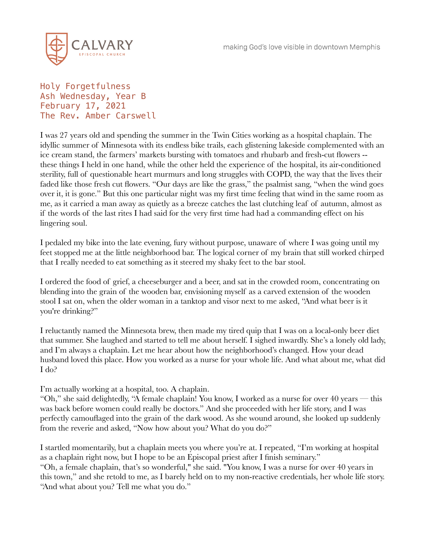

Holy Forgetfulness Ash Wednesday, Year B February 17, 2021 The Rev. Amber Carswell

I was 27 years old and spending the summer in the Twin Cities working as a hospital chaplain. The idyllic summer of Minnesota with its endless bike trails, each glistening lakeside complemented with an ice cream stand, the farmers' markets bursting with tomatoes and rhubarb and fresh-cut flowers - these things I held in one hand, while the other held the experience of the hospital, its air-conditioned sterility, full of questionable heart murmurs and long struggles with COPD, the way that the lives their faded like those fresh cut flowers. "Our days are like the grass," the psalmist sang, "when the wind goes over it, it is gone." But this one particular night was my first time feeling that wind in the same room as me, as it carried a man away as quietly as a breeze catches the last clutching leaf of autumn, almost as if the words of the last rites I had said for the very first time had had a commanding effect on his lingering soul.

I pedaled my bike into the late evening, fury without purpose, unaware of where I was going until my feet stopped me at the little neighborhood bar. The logical corner of my brain that still worked chirped that I really needed to eat something as it steered my shaky feet to the bar stool.

I ordered the food of grief, a cheeseburger and a beer, and sat in the crowded room, concentrating on blending into the grain of the wooden bar, envisioning myself as a carved extension of the wooden stool I sat on, when the older woman in a tanktop and visor next to me asked, "And what beer is it you're drinking?"

I reluctantly named the Minnesota brew, then made my tired quip that I was on a local-only beer diet that summer. She laughed and started to tell me about herself. I sighed inwardly. She's a lonely old lady, and I'm always a chaplain. Let me hear about how the neighborhood's changed. How your dead husband loved this place. How you worked as a nurse for your whole life. And what about me, what did I do?

I'm actually working at a hospital, too. A chaplain.

"Oh," she said delightedly, "A female chaplain! You know, I worked as a nurse for over 40 years — this was back before women could really be doctors." And she proceeded with her life story, and I was perfectly camouflaged into the grain of the dark wood. As she wound around, she looked up suddenly from the reverie and asked, "Now how about you? What do you do?"

I startled momentarily, but a chaplain meets you where you're at. I repeated, "I'm working at hospital as a chaplain right now, but I hope to be an Episcopal priest after I finish seminary." "Oh, a female chaplain, that's so wonderful," she said. "You know, I was a nurse for over 40 years in this town," and she retold to me, as I barely held on to my non-reactive credentials, her whole life story. "And what about you? Tell me what you do."